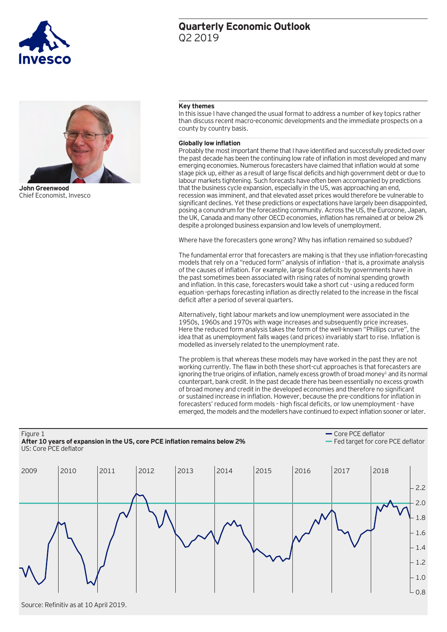#### **Key themes**

In this issue I have changed the usual format to address a number of key topics rather than discuss recent macro-economic developments and the immediate prospects on a county by country basis.

#### **Globally low inflation**

Probably the most important theme that I have identified and successfully predicted over the past decade has been the continuing low rate of inflation in most developed and many emerging economies. Numerous forecasters have claimed that inflation would at some stage pick up, either as a result of large fiscal deficits and high government debt or due to labour markets tightening. Such forecasts have often been accompanied by predictions that the business cycle expansion, especially in the US, was approaching an end, recession was imminent, and that elevated asset prices would therefore be vulnerable to significant declines. Yet these predictions or expectations have largely been disappointed, posing a conundrum for the forecasting community. Across the US, the Eurozone, Japan, the UK, Canada and many other OECD economies, inflation has remained at or below 2% despite a prolonged business expansion and low levels of unemployment.

Where have the forecasters gone wrong? Why has inflation remained so subdued?

The fundamental error that forecasters are making is that they use inflation-forecasting models that rely on a "reduced form" analysis of inflation - that is, a proximate analysis of the causes of inflation. For example, large fiscal deficits by governments have in the past sometimes been associated with rising rates of nominal spending growth and inflation. In this case, forecasters would take a short cut - using a reduced form equation -perhaps forecasting inflation as directly related to the increase in the fiscal deficit after a period of several quarters.

Alternatively, tight labour markets and low unemployment were associated in the 1950s, 1960s and 1970s with wage increases and subsequently price increases. Here the reduced form analysis takes the form of the well-known "Phillips curve", the idea that as unemployment falls wages (and prices) invariably start to rise. Inflation is modelled as inversely related to the unemployment rate.

The problem is that whereas these models may have worked in the past they are not working currently. The flaw in both these short-cut approaches is that forecasters are ignoring the true origins of inflation, namely excess growth of broad money<sup>1</sup> and its normal counterpart, bank credit. In the past decade there has been essentially no excess growth of broad money and credit in the developed economies and therefore no significant or sustained increase in inflation. However, because the pre-conditions for inflation in forecasters' reduced form models - high fiscal deficits, or low unemployment - have emerged, the models and the modellers have continued to expect inflation sooner or later.

Figure 1 **After 10 years of expansion in the US, core PCE inflation remains below 2%** US: Core PCE deflator

Core PCE deflator Fed target for core PCE deflator

| 2009 | 2010 | 2011 | 2012 | 2013 | 2014 | 2015 | 2016 | 2017 | 2018 |        |
|------|------|------|------|------|------|------|------|------|------|--------|
|      |      |      |      |      |      |      |      |      |      | 2.2    |
|      |      |      |      |      |      |      |      |      |      | $-2.0$ |
|      |      |      |      |      |      |      |      |      |      | $-1.8$ |
|      |      |      |      |      |      |      |      |      |      | $-1.6$ |
|      |      |      |      |      |      |      |      |      |      | $-1.4$ |
|      |      |      |      |      |      |      |      |      |      | $-1.2$ |
|      |      |      |      |      |      |      |      |      |      | $-1.0$ |
|      |      |      |      |      |      |      |      |      |      | $-0.8$ |

**John Greenwood**

Chief Economist, Invesco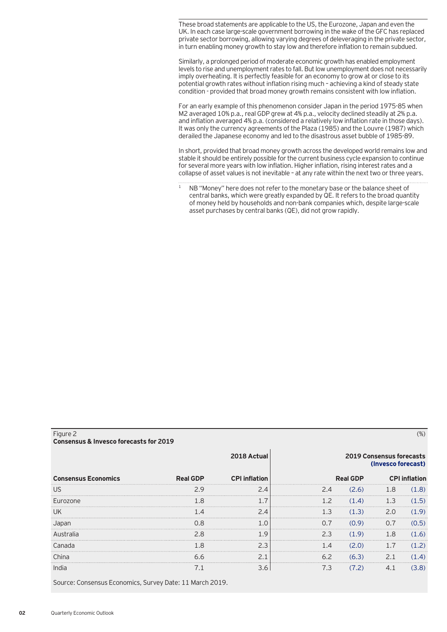These broad statements are applicable to the US, the Eurozone, Japan and even the UK. In each case large-scale government borrowing in the wake of the GFC has replaced private sector borrowing, allowing varying degrees of deleveraging in the private sector, in turn enabling money growth to stay low and therefore inflation to remain subdued.

Similarly, a prolonged period of moderate economic growth has enabled employment levels to rise and unemployment rates to fall. But low unemployment does not necessarily imply overheating. It is perfectly feasible for an economy to grow at or close to its potential growth rates without inflation rising much – achieving a kind of steady state condition - provided that broad money growth remains consistent with low inflation.

For an early example of this phenomenon consider Japan in the period 1975-85 when M2 averaged 10% p.a., real GDP grew at 4% p.a., velocity declined steadily at 2% p.a. and inflation averaged 4% p.a. (considered a relatively low inflation rate in those days). It was only the currency agreements of the Plaza (1985) and the Louvre (1987) which derailed the Japanese economy and led to the disastrous asset bubble of 1985-89.

In short, provided that broad money growth across the developed world remains low and stable it should be entirely possible for the current business cycle expansion to continue for several more years with low inflation. Higher inflation, rising interest rates and a collapse of asset values is not inevitable – at any rate within the next two or three years.

1 NB "Money" here does not refer to the monetary base or the balance sheet of central banks, which were greatly expanded by QE. It refers to the broad quantity of money held by households and non-bank companies which, despite large-scale asset purchases by central banks (QE), did not grow rapidly.

| Consensus & Invesco forecasts for 2019 |                 |                      |     |                                                       |     |  |  |  |  |  |  |
|----------------------------------------|-----------------|----------------------|-----|-------------------------------------------------------|-----|--|--|--|--|--|--|
|                                        |                 | 2018 Actual          |     | <b>2019 Consensus forecasts</b><br>(Invesco forecast) |     |  |  |  |  |  |  |
| <b>Consensus Economics</b>             | <b>Real GDP</b> | <b>CPI</b> inflation |     | <b>Real GDP</b>                                       |     |  |  |  |  |  |  |
| US                                     |                 |                      |     | 2.6)                                                  |     |  |  |  |  |  |  |
| <b>Furozone</b>                        |                 |                      |     | $\Delta$                                              |     |  |  |  |  |  |  |
| UK                                     |                 |                      |     |                                                       | 2 N |  |  |  |  |  |  |
|                                        |                 |                      |     |                                                       |     |  |  |  |  |  |  |
|                                        |                 |                      | 2.3 | 9)                                                    |     |  |  |  |  |  |  |
|                                        |                 |                      |     |                                                       |     |  |  |  |  |  |  |

China 6.6 2.1 6.2 (6.3) 2.1 (1.4) India 7.1 3.6 7.3 (7.2) 4.1 (3.8)

Figure 2 (%)

Source: Consensus Economics, Survey Date: 11 March 2019.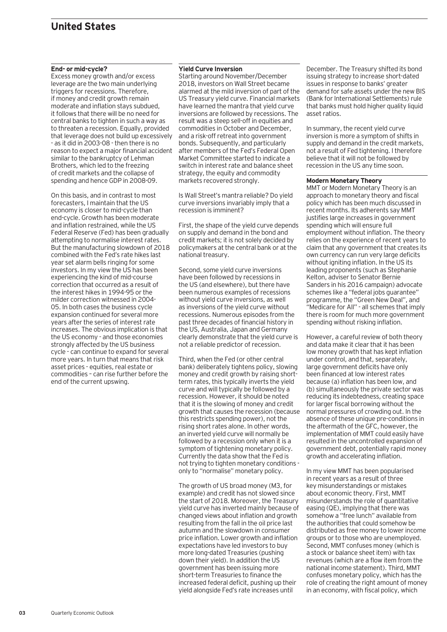# **United States**

#### **End- or mid-cycle?**

Excess money growth and/or excess leverage are the two main underlying triggers for recessions. Therefore, if money and credit growth remain moderate and inflation stays subdued, it follows that there will be no need for central banks to tighten in such a way as to threaten a recession. Equally, provided that leverage does not build up excessively - as it did in 2003-08 - then there is no reason to expect a major financial accident similar to the bankruptcy of Lehman Brothers, which led to the freezing of credit markets and the collapse of spending and hence GDP in 2008-09.

On this basis, and in contrast to most forecasters, I maintain that the US economy is closer to mid-cycle than end-cycle. Growth has been moderate and inflation restrained, while the US Federal Reserve (Fed) has been gradually attempting to normalise interest rates. But the manufacturing slowdown of 2018 combined with the Fed's rate hikes last year set alarm bells ringing for some investors. In my view the US has been experiencing the kind of mid-course correction that occurred as a result of the interest hikes in 1994-95 or the milder correction witnessed in 2004- 05. In both cases the business cycle expansion continued for several more years after the series of interest rate increases. The obvious implication is that the US economy - and those economies strongly affected by the US business cycle - can continue to expand for several more years. In turn that means that risk asset prices - equities, real estate or commodities – can rise further before the end of the current upswing.

#### **Yield Curve Inversion**

Starting around November/December 2018, investors on Wall Street became alarmed at the mild inversion of part of the US Treasury yield curve. Financial markets have learned the mantra that yield curve inversions are followed by recessions. The result was a steep sell-off in equities and commodities in October and December, and a risk-off retreat into government bonds. Subsequently, and particularly after members of the Fed's Federal Open Market Committee started to indicate a switch in interest rate and balance sheet strategy, the equity and commodity markets recovered strongly.

Is Wall Street's mantra reliable? Do yield curve inversions invariably imply that a recession is imminent?

First, the shape of the yield curve depends on supply and demand in the bond and credit markets; it is not solely decided by policymakers at the central bank or at the national treasury.

Second, some yield curve inversions have been followed by recessions in the US (and elsewhere), but there have been numerous examples of recessions without yield curve inversions, as well as inversions of the yield curve without recessions. Numerous episodes from the past three decades of financial history in the US, Australia, Japan and Germany clearly demonstrate that the yield curve is not a reliable predictor of recession.

Third, when the Fed (or other central bank) deliberately tightens policy, slowing money and credit growth by raising shortterm rates, this typically inverts the yield curve and will typically be followed by a recession. However, it should be noted that it is the slowing of money and credit growth that causes the recession (because this restricts spending power), not the rising short rates alone. In other words, an inverted yield curve will normally be followed by a recession only when it is a symptom of tightening monetary policy. Currently the data show that the Fed is not trying to tighten monetary conditions only to "normalise" monetary policy.

The growth of US broad money (M3, for example) and credit has not slowed since the start of 2018. Moreover, the Treasury yield curve has inverted mainly because of changed views about inflation and growth resulting from the fall in the oil price last autumn and the slowdown in consumer price inflation. Lower growth and inflation expectations have led investors to buy more long-dated Treasuries (pushing down their yield). In addition the US government has been issuing more short-term Treasuries to finance the increased federal deficit, pushing up their yield alongside Fed's rate increases until

December. The Treasury shifted its bond issuing strategy to increase short-dated issues in response to banks' greater demand for safe assets under the new BIS (Bank for International Settlements) rule that banks must hold higher quality liquid asset ratios.

In summary, the recent yield curve inversion is more a symptom of shifts in supply and demand in the credit markets, not a result of Fed tightening. I therefore believe that it will not be followed by recession in the US any time soon.

#### **Modern Monetary Theory**

MMT or Modern Monetary Theory is an approach to monetary theory and fiscal policy which has been much discussed in recent months. Its adherents say MMT justifies large increases in government spending which will ensure full employment without inflation. The theory relies on the experience of recent years to claim that any government that creates its own currency can run very large deficits without igniting inflation. In the US its leading proponents (such as Stephanie Kelton, adviser to Senator Bernie Sanders in his 2016 campaign) advocate schemes like a "federal jobs guarantee" programme, the "Green New Deal", and "Medicare for All" - all schemes that imply there is room for much more government spending without risking inflation.

However, a careful review of both theory and data make it clear that it has been low money growth that has kept inflation under control, and that, separately, large government deficits have only been financed at low interest rates because (a) inflation has been low, and (b) simultaneously the private sector was reducing its indebtedness, creating space for larger fiscal borrowing without the normal pressures of crowding out. In the absence of these unique pre-conditions in the aftermath of the GFC, however, the implementation of MMT could easily have resulted in the uncontrolled expansion of government debt, potentially rapid money growth and accelerating inflation.

In my view MMT has been popularised in recent years as a result of three key misunderstandings or mistakes about economic theory. First, MMT misunderstands the role of quantitative easing (QE), implying that there was somehow a "free lunch" available from the authorities that could somehow be distributed as free money to lower income groups or to those who are unemployed. Second, MMT confuses money (which is a stock or balance sheet item) with tax revenues (which are a flow item from the national income statement). Third, MMT confuses monetary policy, which has the role of creating the right amount of money in an economy, with fiscal policy, which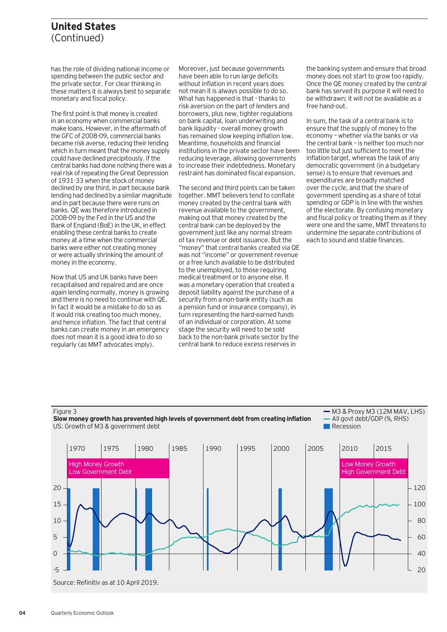### **United States**  (Continued)

has the role of dividing national income or spending between the public sector and the private sector. For clear thinking in these matters it is always best to separate monetary and fiscal policy.

The first point is that money is created in an economy when commercial banks make loans. However, in the aftermath of the GFC of 2008-09, commercial banks became risk averse, reducing their lending which in turn meant that the money supply could have declined precipitously. If the central banks had done nothing there was a real risk of repeating the Great Depression of 1931-33 when the stock of money declined by one third, in part because bank lending had declined by a similar magnitude and in part because there were runs on banks. QE was therefore introduced in 2008-09 by the Fed in the US and the Bank of England (BoE) in the UK, in effect enabling these central banks to create money at a time when the commercial banks were either not creating money or were actually shrinking the amount of money in the economy.

Now that US and UK banks have been recapitalised and repaired and are once again lending normally, money is growing and there is no need to continue with QE. In fact it would be a mistake to do so as it would risk creating too much money, and hence inflation. The fact that central banks can create money in an emergency does not mean it is a good idea to do so regularly (as MMT advocates imply).

Moreover, just because governments have been able to run large deficits without inflation in recent years does not mean it is always possible to do so. What has happened is that - thanks to risk aversion on the part of lenders and borrowers, plus new, tighter regulations on bank capital, loan underwriting and bank liquidity - overall money growth has remained slow keeping inflation low. Meantime, households and financial institutions in the private sector have been reducing leverage, allowing governments to increase their indebtedness. Monetary restraint has dominated fiscal expansion.

The second and third points can be taken together. MMT believers tend to conflate money created by the central bank with revenue available to the government, making out that money created by the central bank can be deployed by the government just like any normal stream of tax revenue or debt issuance. But the "money" that central banks created via QE was not "income" or government revenue or a free lunch available to be distributed to the unemployed, to those requiring medical treatment or to anyone else. It was a monetary operation that created a deposit liability against the purchase of a security from a non-bank entity (such as a pension fund or insurance company), in turn representing the hard-earned funds of an individual or corporation. At some stage the security will need to be sold back to the non-bank private sector by the central bank to reduce excess reserves in

the banking system and ensure that broad money does not start to grow too rapidly. Once the QE money created by the central bank has served its purpose it will need to be withdrawn; it will not be available as a free hand-out.

In sum, the task of a central bank is to ensure that the supply of money to the economy – whether via the banks or via the central bank – is neither too much nor too little but just sufficient to meet the inflation target, whereas the task of any democratic government (in a budgetary sense) is to ensure that revenues and expenditures are broadly matched over the cycle, and that the share of government spending as a share of total spending or GDP is in line with the wishes of the electorate. By confusing monetary and fiscal policy or treating them as if they were one and the same, MMT threatens to undermine the separate contributions of each to sound and stable finances.





 $-$  M3 & Proxy M3 (12M MAV, LHS) All govt debt/GDP (%, RHS) **Recession** 

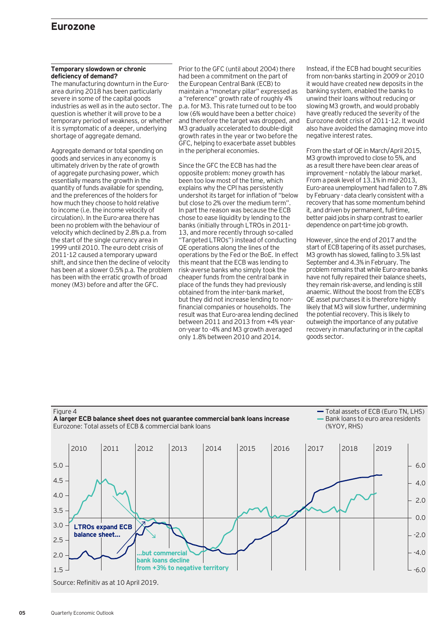### **Eurozone**

#### **Temporary slowdown or chronic deficiency of demand?**

The manufacturing downturn in the Euroarea during 2018 has been particularly severe in some of the capital goods industries as well as in the auto sector. The question is whether it will prove to be a temporary period of weakness, or whether it is symptomatic of a deeper, underlying shortage of aggregate demand.

Aggregate demand or total spending on goods and services in any economy is ultimately driven by the rate of growth of aggregate purchasing power, which essentially means the growth in the quantity of funds available for spending, and the preferences of the holders for how much they choose to hold relative to income (i.e. the income velocity of circulation). In the Euro-area there has been no problem with the behaviour of velocity which declined by 2.8% p.a. from the start of the single currency area in 1999 until 2010. The euro debt crisis of 2011-12 caused a temporary upward shift, and since then the decline of velocity has been at a slower 0.5% p.a. The problem has been with the erratic growth of broad money (M3) before and after the GFC.

Prior to the GFC (until about 2004) there had been a commitment on the part of the European Central Bank (ECB) to maintain a "monetary pillar" expressed as a "reference" growth rate of roughly 4% p.a. for M3. This rate turned out to be too low (6% would have been a better choice) and therefore the target was dropped, and M3 gradually accelerated to double-digit growth rates in the year or two before the GFC, helping to exacerbate asset bubbles in the peripheral economies.

Since the GFC the ECB has had the opposite problem: money growth has been too low most of the time, which explains why the CPI has persistently undershot its target for inflation of "below but close to 2% over the medium term". In part the reason was because the ECB chose to ease liquidity by lending to the banks (initially through LTROs in 2011- 13, and more recently through so-called "Targeted LTROs") instead of conducting QE operations along the lines of the operations by the Fed or the BoE. In effect this meant that the ECB was lending to risk-averse banks who simply took the cheaper funds from the central bank in place of the funds they had previously obtained from the inter-bank market, but they did not increase lending to nonfinancial companies or households. The result was that Euro-area lending declined between 2011 and 2013 from +4% yearon-year to -4% and M3 growth averaged only 1.8% between 2010 and 2014.

Instead, if the ECB had bought securities from non-banks starting in 2009 or 2010 it would have created new deposits in the banking system, enabled the banks to unwind their loans without reducing or slowing M3 growth, and would probably have greatly reduced the severity of the Eurozone debt crisis of 2011-12. It would also have avoided the damaging move into negative interest rates.

From the start of QE in March/April 2015, M3 growth improved to close to 5%, and as a result there have been clear areas of improvement – notably the labour market. From a peak level of 13.1% in mid-2013, Euro-area unemployment had fallen to 7.8% by February - data clearly consistent with a recovery that has some momentum behind it, and driven by permanent, full-time, better paid jobs in sharp contrast to earlier dependence on part-time job growth.

However, since the end of 2017 and the start of ECB tapering of its asset purchases, M3 growth has slowed, falling to 3.5% last September and 4.3% in February. The problem remains that while Euro-area banks have not fully repaired their balance sheets, they remain risk-averse, and lending is still anaemic. Without the boost from the ECB's QE asset purchases it is therefore highly likely that M3 will slow further, undermining the potential recovery. This is likely to outweigh the importance of any putative recovery in manufacturing or in the capital goods sector.

Total assets of ECB (Euro TN, LHS)



**05** Quarterly Economic Outlook

Figure 4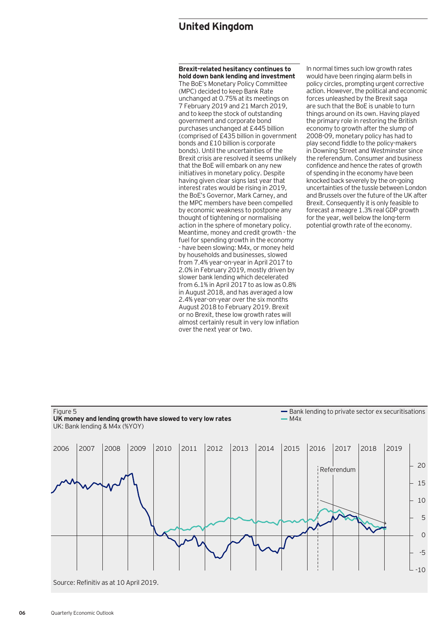## **United Kingdom**

**Brexit-related hesitancy continues to hold down bank lending and investment** The BoE's Monetary Policy Committee (MPC) decided to keep Bank Rate unchanged at 0.75% at its meetings on 7 February 2019 and 21 March 2019, and to keep the stock of outstanding government and corporate bond purchases unchanged at £445 billion (comprised of £435 billion in government bonds and £10 billion is corporate bonds). Until the uncertainties of the Brexit crisis are resolved it seems unlikely that the BoE will embark on any new initiatives in monetary policy. Despite having given clear signs last year that interest rates would be rising in 2019, the BoE's Governor, Mark Carney, and the MPC members have been compelled by economic weakness to postpone any thought of tightening or normalising action in the sphere of monetary policy. Meantime, money and credit growth - the fuel for spending growth in the economy - have been slowing: M4x, or money held by households and businesses, slowed from 7.4% year-on-year in April 2017 to 2.0% in February 2019, mostly driven by slower bank lending which decelerated from 6.1% in April 2017 to as low as  $0.8\%$ in August 2018, and has averaged a low 2.4% year-on-year over the six months August 2018 to February 2019. Brexit or no Brexit, these low growth rates will almost certainly result in very low inflation over the next year or two.

In normal times such low growth rates would have been ringing alarm bells in policy circles, prompting urgent corrective action. However, the political and economic forces unleashed by the Brexit saga are such that the BoE is unable to turn things around on its own. Having played the primary role in restoring the British economy to growth after the slump of 2008-09, monetary policy has had to play second fiddle to the policy-makers in Downing Street and Westminster since the referendum. Consumer and business confidence and hence the rates of growth of spending in the economy have been knocked back severely by the on-going uncertainties of the tussle between London and Brussels over the future of the UK after Brexit. Consequently it is only feasible to forecast a meagre 1.3% real GDP growth for the year, well below the long-term potential growth rate of the economy.



**06** Quarterly Economic Outlook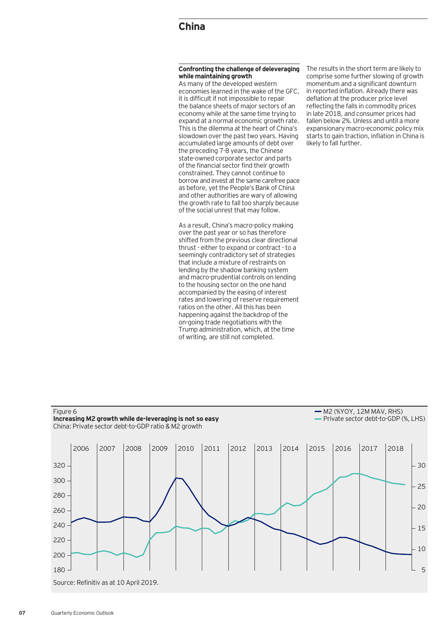## **China**

#### **Confronting the challenge of deleveraging while maintaining growth**

As many of the developed western economies learned in the wake of the GFC, it is difficult if not impossible to repair the balance sheets of major sectors of an economy while at the same time trying to expand at a normal economic growth rate. This is the dilemma at the heart of China's slowdown over the past two years. Having accumulated large amounts of debt over the preceding 7-8 years, the Chinese state-owned corporate sector and parts of the financial sector find their growth constrained. They cannot continue to borrow and invest at the same carefree pace as before, yet the People's Bank of China and other authorities are wary of allowing the growth rate to fall too sharply because of the social unrest that may follow.

As a result, China's macro-policy making over the past year or so has therefore shifted from the previous clear directional thrust - either to expand or contract - to a seemingly contradictory set of strategies that include a mixture of restraints on lending by the shadow banking system and macro-prudential controls on lending to the housing sector on the one hand accompanied by the easing of interest rates and lowering of reserve requirement ratios on the other. All this has been happening against the backdrop of the on-going trade negotiations with the Trump administration, which, at the time of writing, are still not completed.

The results in the short term are likely to comprise some further slowing of growth momentum and a significant downturn in reported inflation. Already there was deflation at the producer price level reflecting the falls in commodity prices in late 2018, and consumer prices had fallen below 2%. Unless and until a more expansionary macro-economic policy mix starts to gain traction, inflation in China is likely to fall further.

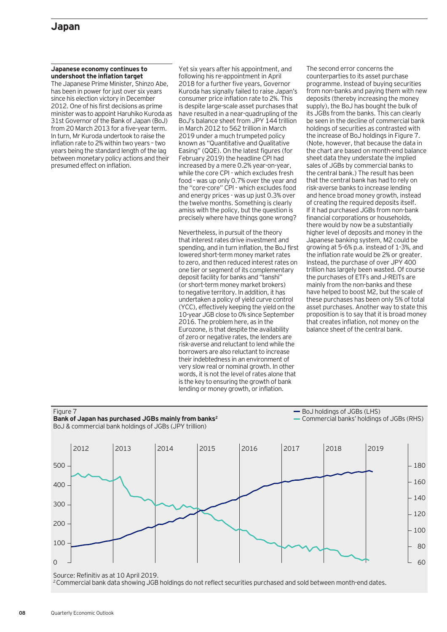#### **Japanese economy continues to undershoot the inflation target**

The Japanese Prime Minister, Shinzo Abe, has been in power for just over six years since his election victory in December 2012. One of his first decisions as prime minister was to appoint Haruhiko Kuroda as 31st Governor of the Bank of Japan (BoJ) from 20 March 2013 for a five-year term. In turn, Mr Kuroda undertook to raise the inflation rate to 2% within two years – two years being the standard length of the lag between monetary policy actions and their presumed effect on inflation.

Yet six years after his appointment, and following his re-appointment in April 2018 for a further five years, Governor Kuroda has signally failed to raise Japan's consumer price inflation rate to 2%. This is despite large-scale asset purchases that have resulted in a near-quadrupling of the BoJ's balance sheet from JPY 144 trillion in March 2012 to 562 trillion in March 2019 under a much trumpeted policy known as "Quantitative and Qualitative Easing" (QQE). On the latest figures (for February 2019) the headline CPI had increased by a mere 0.2% year-on-year, while the core CPI - which excludes fresh food - was up only 0.7% over the year and the "core-core" CPI - which excludes food and energy prices - was up just 0.3% over the twelve months. Something is clearly amiss with the policy, but the question is precisely where have things gone wrong?

Nevertheless, in pursuit of the theory that interest rates drive investment and spending, and in turn inflation, the BoJ first lowered short-term money market rates to zero, and then reduced interest rates on one tier or segment of its complementary deposit facility for banks and "tanshi" (or short-term money market brokers) to negative territory. In addition, it has undertaken a policy of yield curve control (YCC), effectively keeping the yield on the 10-year JGB close to 0% since September 2016. The problem here, as in the Eurozone, is that despite the availability of zero or negative rates, the lenders are risk-averse and reluctant to lend while the borrowers are also reluctant to increase their indebtedness in an environment of very slow real or nominal growth. In other words, it is not the level of rates alone that is the key to ensuring the growth of bank lending or money growth, or inflation.

The second error concerns the counterparties to its asset purchase programme. Instead of buying securities from non-banks and paying them with new deposits (thereby increasing the money supply), the BoJ has bought the bulk of its JGBs from the banks. This can clearly be seen in the decline of commercial bank holdings of securities as contrasted with the increase of BoJ holdings in Figure 7. (Note, however, that because the data in the chart are based on month-end balance sheet data they understate the implied sales of JGBs by commercial banks to the central bank.) The result has been that the central bank has had to rely on risk-averse banks to increase lending and hence broad money growth, instead of creating the required deposits itself. If it had purchased JGBs from non-bank financial corporations or households, there would by now be a substantially higher level of deposits and money in the Japanese banking system, M2 could be growing at 5-6% p.a. instead of 1-3%, and the inflation rate would be 2% or greater. Instead, the purchase of over JPY 400 trillion has largely been wasted. Of course the purchases of ETFs and J-REITs are mainly from the non-banks and these have helped to boost M2, but the scale of these purchases has been only 5% of total asset purchases. Another way to state this proposition is to say that it is broad money that creates inflation, not money on the balance sheet of the central bank.



Source: Refinitiv as at 10 April 2019.

<sup>2</sup> Commercial bank data showing JGB holdings do not reflect securities purchased and sold between month-end dates.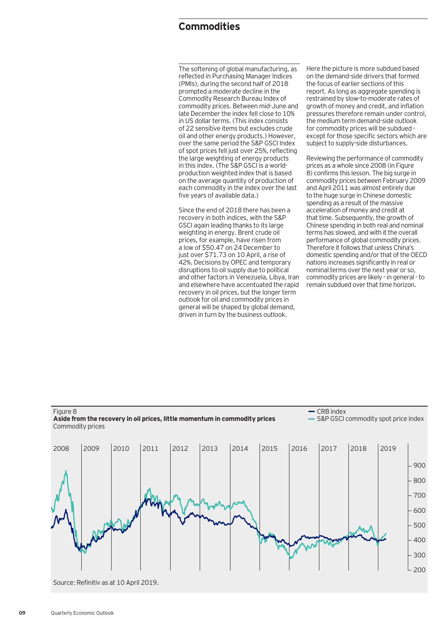# **Commodities**

The softening of global manufacturing, as reflected in Purchasing Manager Indices (PMIs), during the second half of 2018 prompted a moderate decline in the Commodity Research Bureau Index of commodity prices. Between mid-June and late December the index fell close to 10% in US dollar terms. (This index consists of 22 sensitive items but excludes crude oil and other energy products.) However, over the same period the S&P GSCI Index of spot prices fell just over 25%, reflecting the large weighting of energy products in this index. (The S&P GSCI is a worldproduction weighted index that is based on the average quantity of production of each commodity in the index over the last five years of available data.)

Since the end of 2018 there has been a recovery in both indices, with the S&P GSCI again leading thanks to its large weighting in energy. Brent crude oil prices, for example, have risen from a low of \$50.47 on 24 December to just over \$71.73 on 10 April, a rise of 42%. Decisions by OPEC and temporary disruptions to oil supply due to political and other factors in Venezuela, Libya, Iran and elsewhere have accentuated the rapid recovery in oil prices, but the longer term outlook for oil and commodity prices in general will be shaped by global demand, driven in turn by the business outlook.

Here the picture is more subdued based on the demand-side drivers that formed the focus of earlier sections of this report. As long as aggregate spending is restrained by slow-to-moderate rates of growth of money and credit, and inflation pressures therefore remain under control, the medium term demand-side outlook for commodity prices will be subdued except for those specific sectors which are subject to supply-side disturbances.

Reviewing the performance of commodity prices as a whole since 2008 (in Figure 8) confirms this lesson. The big surge in commodity prices between February 2009 and April 2011 was almost entirely due to the huge surge in Chinese domestic spending as a result of the massive acceleration of money and credit at that time. Subsequently, the growth of Chinese spending in both real and nominal terms has slowed, and with it the overall performance of global commodity prices. Therefore it follows that unless China's domestic spending and/or that of the OECD nations increases significantly in real or nominal terms over the next year or so, commodity prices are likely - in general - to remain subdued over that time horizon.

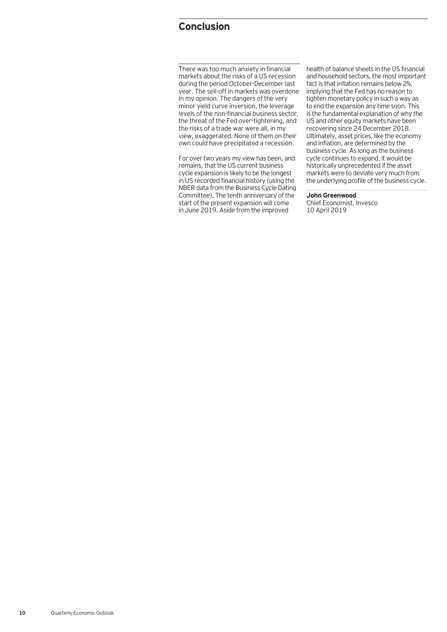# **Conclusion**

There was too much anxiety in financial markets about the risks of a US recession during the period October-December last year. The sell-off in markets was overdone in my opinion. The dangers of the very minor yield curve inversion, the leverage levels of the non-financial business sector, the threat of the Fed over-tightening, and the risks of a trade war were all, in my view, exaggerated. None of them on their own could have precipitated a recession.

For over two years my view has been, and remains, that the US current business cycle expansion is likely to be the longest in US recorded financial history (using the NBER data from the Business Cycle Dating Committee). The tenth anniversary of the start of the present expansion will come in June 2019. Aside from the improved

health of balance sheets in the US financial and household sectors, the most important fact is that inflation remains below 2%, implying that the Fed has no reason to tighten monetary policy in such a way as to end the expansion any time soon. This is the fundamental explanation of why the US and other equity markets have been recovering since 24 December 2018. Ultimately, asset prices, like the economy and inflation, are determined by the business cycle. As long as the business cycle continues to expand, it would be historically unprecedented if the asset markets were to deviate very much from the underlying profile of the business cycle.

**John Greenwood** Chief Economist, Invesco 10 April 2019